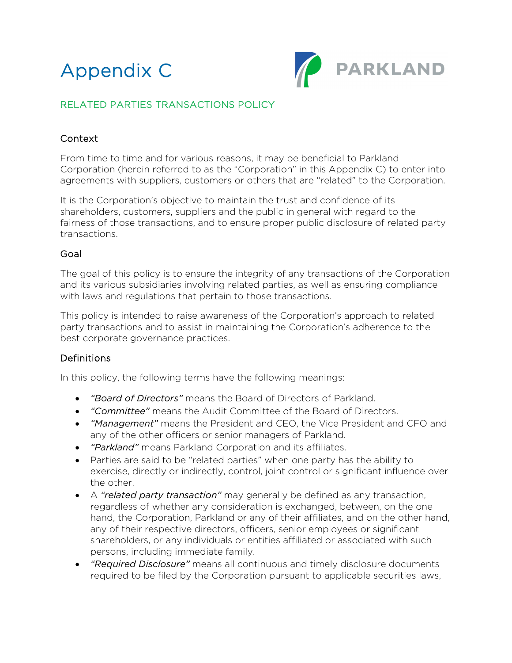



# RELATED PARTIES TRANSACTIONS POLICY

### Context

From time to time and for various reasons, it may be beneficial to Parkland Corporation (herein referred to as the "Corporation" in this Appendix C) to enter into agreements with suppliers, customers or others that are "related" to the Corporation.

It is the Corporation's objective to maintain the trust and confidence of its shareholders, customers, suppliers and the public in general with regard to the fairness of those transactions, and to ensure proper public disclosure of related party transactions.

#### Goal

The goal of this policy is to ensure the integrity of any transactions of the Corporation and its various subsidiaries involving related parties, as well as ensuring compliance with laws and regulations that pertain to those transactions.

This policy is intended to raise awareness of the Corporation's approach to related party transactions and to assist in maintaining the Corporation's adherence to the best corporate governance practices.

#### Definitions

In this policy, the following terms have the following meanings:

- *"Board of Directors"* means the Board of Directors of Parkland.
- *"Committee"* means the Audit Committee of the Board of Directors.
- *"Management"* means the President and CEO, the Vice President and CFO and any of the other officers or senior managers of Parkland.
- *"Parkland"* means Parkland Corporation and its affiliates.
- exercise, directly or indirectly, control, joint control or significant influence over the other. • Parties are said to be "related parties" when one party has the ability to
- A *"related party transaction"* may generally be defined as any transaction, regardless of whether any consideration is exchanged, between, on the one hand, the Corporation, Parkland or any of their affiliates, and on the other hand, any of their respective directors, officers, senior employees or significant shareholders, or any individuals or entities affiliated or associated with such persons, including immediate family.
- *"Required Disclosure"* means all continuous and timely disclosure documents required to be filed by the Corporation pursuant to applicable securities laws,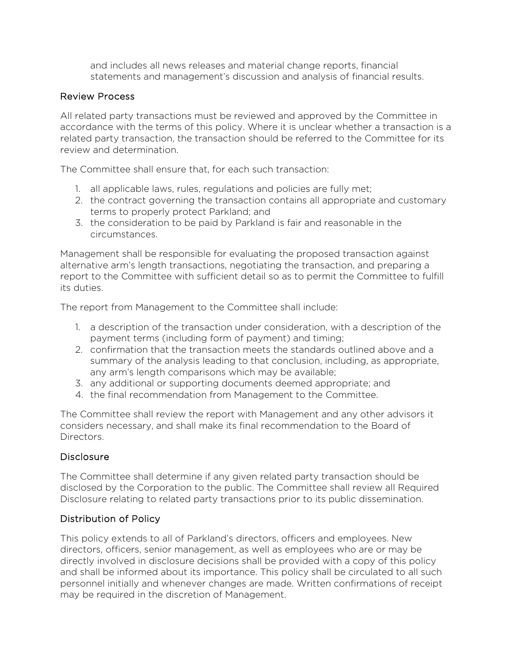and includes all news releases and material change reports, financial statements and management's discussion and analysis of financial results.

# Review Process

All related party transactions must be reviewed and approved by the Committee in accordance with the terms of this policy. Where it is unclear whether a transaction is a related party transaction, the transaction should be referred to the Committee for its review and determination.

The Committee shall ensure that, for each such transaction:

- 1. all applicable laws, rules, regulations and policies are fully met;
- 2. the contract governing the transaction contains all appropriate and customary terms to properly protect Parkland; and
- 3. the consideration to be paid by Parkland is fair and reasonable in the circumstances.

Management shall be responsible for evaluating the proposed transaction against alternative arm's length transactions, negotiating the transaction, and preparing a report to the Committee with sufficient detail so as to permit the Committee to fulfill its duties.

The report from Management to the Committee shall include:

- 1. a description of the transaction under consideration, with a description of the payment terms (including form of payment) and timing;
- 2. confirmation that the transaction meets the standards outlined above and a summary of the analysis leading to that conclusion, including, as appropriate, any arm's length comparisons which may be available;
- 3. any additional or supporting documents deemed appropriate; and
- 4. the final recommendation from Management to the Committee.

The Committee shall review the report with Management and any other advisors it considers necessary, and shall make its final recommendation to the Board of Directors.

# **Disclosure**

The Committee shall determine if any given related party transaction should be disclosed by the Corporation to the public. The Committee shall review all Required Disclosure relating to related party transactions prior to its public dissemination.

# Distribution of Policy

This policy extends to all of Parkland's directors, officers and employees. New directors, officers, senior management, as well as employees who are or may be directly involved in disclosure decisions shall be provided with a copy of this policy and shall be informed about its importance. This policy shall be circulated to all such personnel initially and whenever changes are made. Written confirmations of receipt may be required in the discretion of Management.